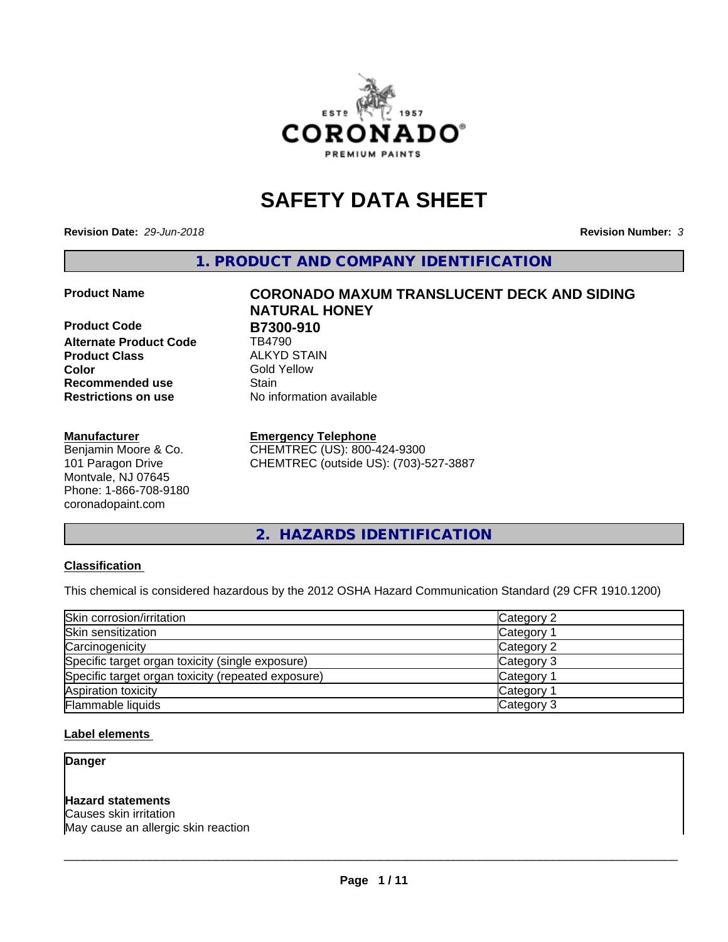

# **SAFETY DATA SHEET**

**Revision Date:** *29-Jun-2018* **Revision Number:** *3*

**1. PRODUCT AND COMPANY IDENTIFICATION**

**Product Code B7300-910**<br>Alternate Product Code **B** TB4790 **Alternate Product Code Product Class** ALKYD STAIN<br> **Color** Gold Yellow **Recommended use Stain Restrictions on use** No information available

#### **Manufacturer**

Benjamin Moore & Co. 101 Paragon Drive Montvale, NJ 07645 Phone: 1-866-708-9180 coronadopaint.com

# **Product Name CORONADO MAXUM TRANSLUCENT DECK AND SIDING NATURAL HONEY Gold Yellow**

#### **Emergency Telephone**

CHEMTREC (US): 800-424-9300 CHEMTREC (outside US): (703)-527-3887

**2. HAZARDS IDENTIFICATION**

#### **Classification**

This chemical is considered hazardous by the 2012 OSHA Hazard Communication Standard (29 CFR 1910.1200)

| Skin corrosion/irritation                          | Category 2        |
|----------------------------------------------------|-------------------|
| Skin sensitization                                 | Category 1        |
| Carcinogenicity                                    | Category 2        |
| Specific target organ toxicity (single exposure)   | Category 3        |
| Specific target organ toxicity (repeated exposure) | Category 1        |
| Aspiration toxicity                                | <b>Category 1</b> |
| Flammable liquids                                  | Category 3        |

#### **Label elements**

**Danger**

#### **Hazard statements**

Causes skin irritation May cause an allergic skin reaction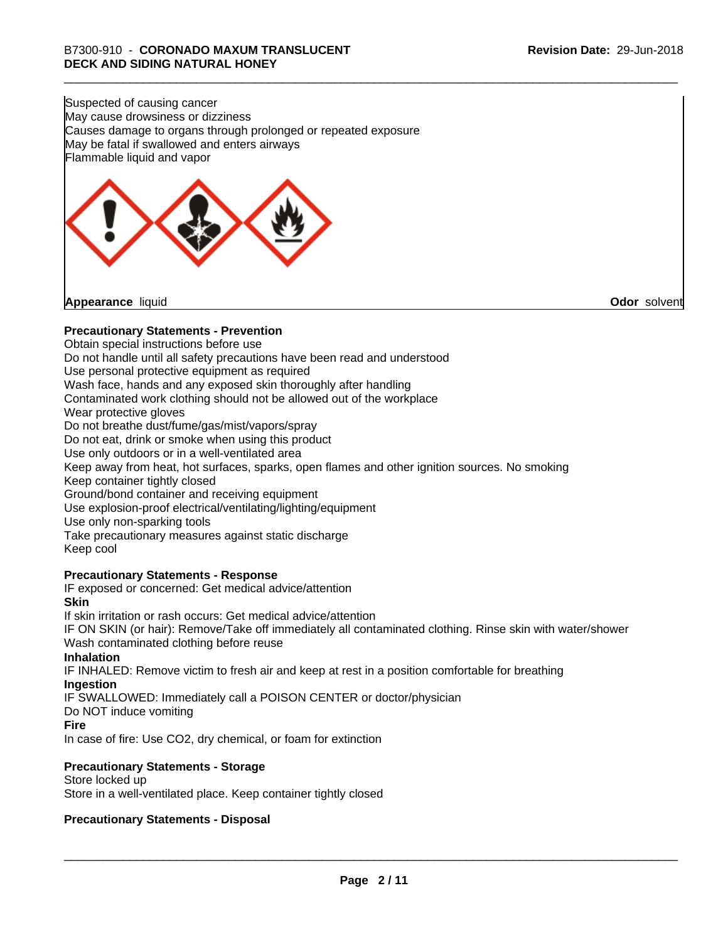Suspected of causing cancer May cause drowsiness or dizziness Causes damage to organs through prolonged or repeated exposure May be fatal if swallowed and enters airways Flammable liquid and vapor

**Appearance** liquid **Odor** solvent

#### **Precautionary Statements - Prevention**

Obtain special instructions before use Do not handle until all safety precautions have been read and understood Use personal protective equipment as required Wash face, hands and any exposed skin thoroughly after handling Contaminated work clothing should not be allowed out of the workplace Wear protective gloves Do not breathe dust/fume/gas/mist/vapors/spray Do not eat, drink or smoke when using this product Use only outdoors or in a well-ventilated area Keep away from heat, hot surfaces, sparks, open flames and other ignition sources. No smoking Keep container tightly closed Ground/bond container and receiving equipment Use explosion-proof electrical/ventilating/lighting/equipment Use only non-sparking tools Take precautionary measures against static discharge Keep cool **Precautionary Statements - Response** IF exposed or concerned: Get medical advice/attention **Skin** If skin irritation or rash occurs: Get medical advice/attention

IF ON SKIN (or hair): Remove/Take off immediately all contaminated clothing. Rinse skin with water/shower Wash contaminated clothing before reuse

#### **Inhalation**

IF INHALED: Remove victim to fresh air and keep at rest in a position comfortable for breathing **Ingestion**

IF SWALLOWED: Immediately call a POISON CENTER or doctor/physician

Do NOT induce vomiting

#### **Fire**

In case of fire: Use CO2, dry chemical, or foam for extinction

#### **Precautionary Statements - Storage**

Store locked up Store in a well-ventilated place. Keep container tightly closed

#### **Precautionary Statements - Disposal**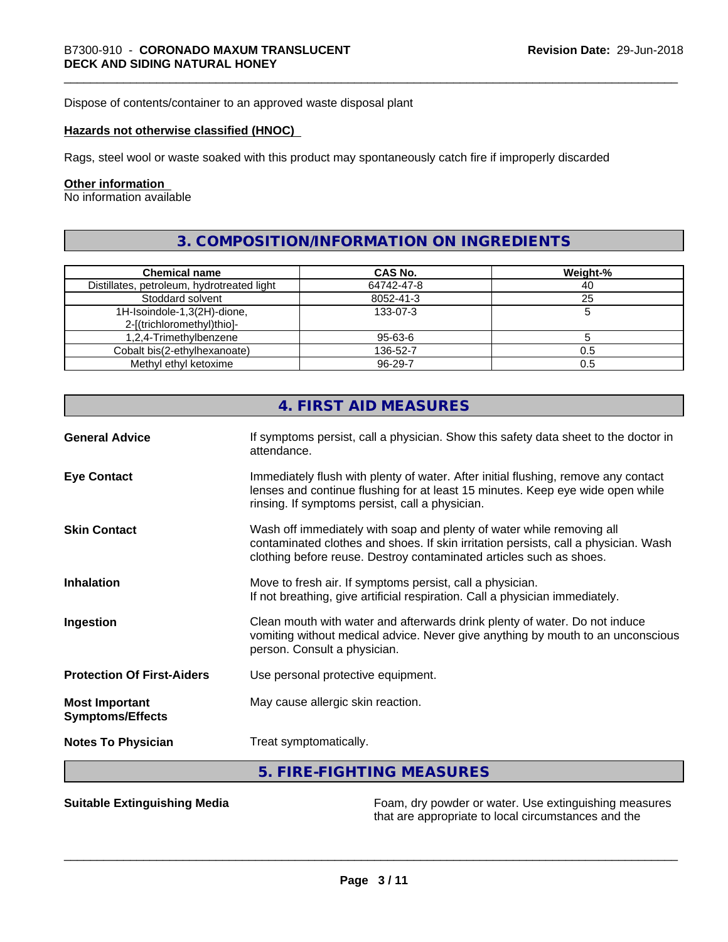Dispose of contents/container to an approved waste disposal plant

#### **Hazards not otherwise classified (HNOC)**

Rags, steel wool or waste soaked with this product may spontaneously catch fire if improperly discarded

#### **Other information**

No information available

# **3. COMPOSITION/INFORMATION ON INGREDIENTS**

| <b>Chemical name</b>                       | CAS No.       | Weight-% |
|--------------------------------------------|---------------|----------|
| Distillates, petroleum, hydrotreated light | 64742-47-8    | 40       |
| Stoddard solvent                           | 8052-41-3     | 25       |
| 1H-Isoindole-1,3(2H)-dione,                | 133-07-3      |          |
| 2-[(trichloromethyl)thio]-                 |               |          |
| 1,2,4-Trimethylbenzene                     | 95-63-6       |          |
| Cobalt bis(2-ethylhexanoate)               | 136-52-7      | 0.5      |
| Methyl ethyl ketoxime                      | $96 - 29 - 7$ | 0.5      |

|                                                  | 4. FIRST AID MEASURES                                                                                                                                                                                                               |
|--------------------------------------------------|-------------------------------------------------------------------------------------------------------------------------------------------------------------------------------------------------------------------------------------|
| <b>General Advice</b>                            | If symptoms persist, call a physician. Show this safety data sheet to the doctor in<br>attendance.                                                                                                                                  |
| <b>Eye Contact</b>                               | Immediately flush with plenty of water. After initial flushing, remove any contact<br>lenses and continue flushing for at least 15 minutes. Keep eye wide open while<br>rinsing. If symptoms persist, call a physician.             |
| <b>Skin Contact</b>                              | Wash off immediately with soap and plenty of water while removing all<br>contaminated clothes and shoes. If skin irritation persists, call a physician. Wash<br>clothing before reuse. Destroy contaminated articles such as shoes. |
| <b>Inhalation</b>                                | Move to fresh air. If symptoms persist, call a physician.<br>If not breathing, give artificial respiration. Call a physician immediately.                                                                                           |
| Ingestion                                        | Clean mouth with water and afterwards drink plenty of water. Do not induce<br>vomiting without medical advice. Never give anything by mouth to an unconscious<br>person. Consult a physician.                                       |
| <b>Protection Of First-Aiders</b>                | Use personal protective equipment.                                                                                                                                                                                                  |
| <b>Most Important</b><br><b>Symptoms/Effects</b> | May cause allergic skin reaction.                                                                                                                                                                                                   |
| <b>Notes To Physician</b>                        | Treat symptomatically.                                                                                                                                                                                                              |
|                                                  | 5. FIRE-FIGHTING MEASURES                                                                                                                                                                                                           |

**Suitable Extinguishing Media** Foam, dry powder or water. Use extinguishing measures that are appropriate to local circumstances and the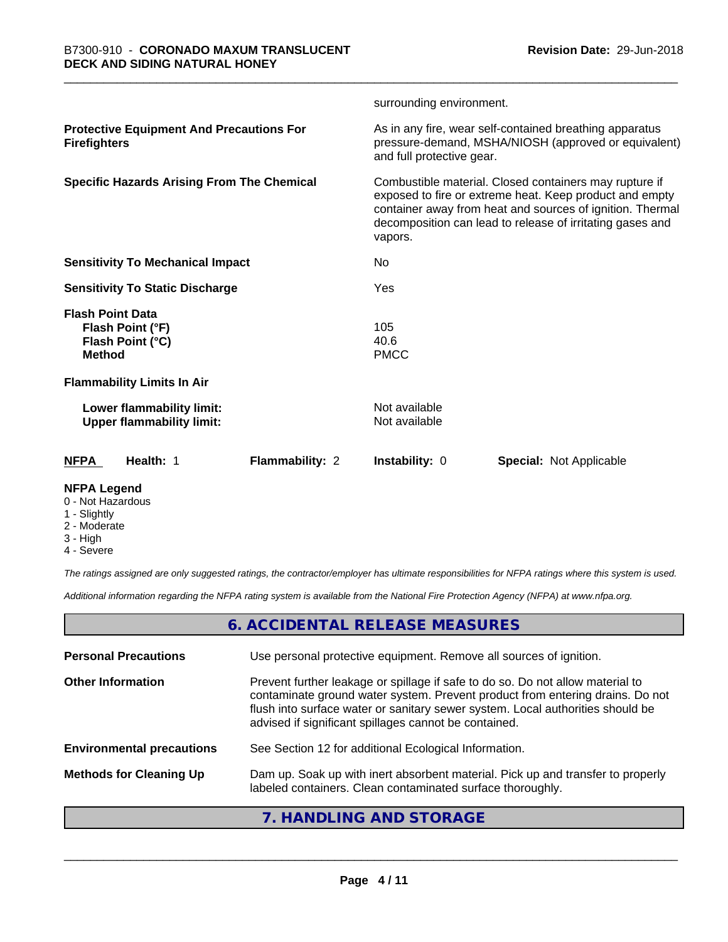|                                                                                  |                 | surrounding environment.       |                                                                                                                                                                                                                                             |
|----------------------------------------------------------------------------------|-----------------|--------------------------------|---------------------------------------------------------------------------------------------------------------------------------------------------------------------------------------------------------------------------------------------|
| <b>Protective Equipment And Precautions For</b><br><b>Firefighters</b>           |                 | and full protective gear.      | As in any fire, wear self-contained breathing apparatus<br>pressure-demand, MSHA/NIOSH (approved or equivalent)                                                                                                                             |
| <b>Specific Hazards Arising From The Chemical</b>                                |                 | vapors.                        | Combustible material. Closed containers may rupture if<br>exposed to fire or extreme heat. Keep product and empty<br>container away from heat and sources of ignition. Thermal<br>decomposition can lead to release of irritating gases and |
| <b>Sensitivity To Mechanical Impact</b>                                          |                 | No.                            |                                                                                                                                                                                                                                             |
| <b>Sensitivity To Static Discharge</b>                                           |                 | Yes                            |                                                                                                                                                                                                                                             |
| <b>Flash Point Data</b><br>Flash Point (°F)<br>Flash Point (°C)<br><b>Method</b> |                 | 105<br>40.6<br><b>PMCC</b>     |                                                                                                                                                                                                                                             |
| <b>Flammability Limits In Air</b>                                                |                 |                                |                                                                                                                                                                                                                                             |
| Lower flammability limit:<br><b>Upper flammability limit:</b>                    |                 | Not available<br>Not available |                                                                                                                                                                                                                                             |
| Health: 1<br><b>NFPA</b>                                                         | Flammability: 2 | Instability: 0                 | <b>Special: Not Applicable</b>                                                                                                                                                                                                              |
| <b>NFPA Legend</b>                                                               |                 |                                |                                                                                                                                                                                                                                             |

- 0 Not Hazardous
- 1 Slightly
- 2 Moderate
- 3 High
- 4 Severe

*The ratings assigned are only suggested ratings, the contractor/employer has ultimate responsibilities for NFPA ratings where this system is used.*

*Additional information regarding the NFPA rating system is available from the National Fire Protection Agency (NFPA) at www.nfpa.org.*

# **6. ACCIDENTAL RELEASE MEASURES**

| <b>Personal Precautions</b>      | Use personal protective equipment. Remove all sources of ignition.                                                                                                                                                                                                                                         |
|----------------------------------|------------------------------------------------------------------------------------------------------------------------------------------------------------------------------------------------------------------------------------------------------------------------------------------------------------|
| <b>Other Information</b>         | Prevent further leakage or spillage if safe to do so. Do not allow material to<br>contaminate ground water system. Prevent product from entering drains. Do not<br>flush into surface water or sanitary sewer system. Local authorities should be<br>advised if significant spillages cannot be contained. |
| <b>Environmental precautions</b> | See Section 12 for additional Ecological Information.                                                                                                                                                                                                                                                      |
| <b>Methods for Cleaning Up</b>   | Dam up. Soak up with inert absorbent material. Pick up and transfer to properly<br>labeled containers. Clean contaminated surface thoroughly.                                                                                                                                                              |
|                                  |                                                                                                                                                                                                                                                                                                            |

#### **7. HANDLING AND STORAGE**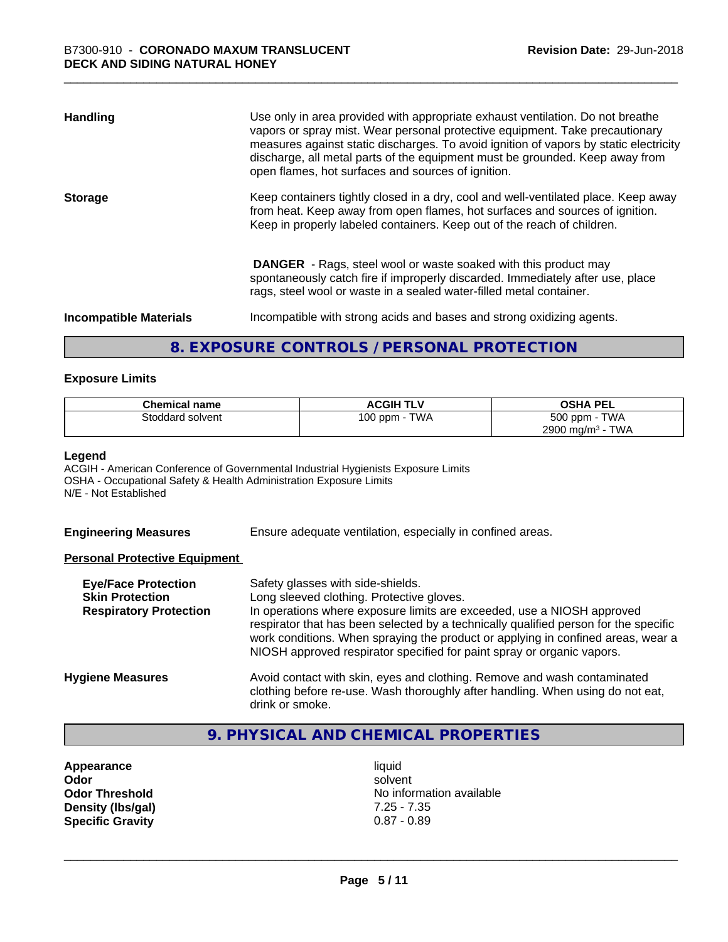| <b>Handling</b>               | Use only in area provided with appropriate exhaust ventilation. Do not breathe<br>vapors or spray mist. Wear personal protective equipment. Take precautionary<br>measures against static discharges. To avoid ignition of vapors by static electricity<br>discharge, all metal parts of the equipment must be grounded. Keep away from<br>open flames, hot surfaces and sources of ignition. |
|-------------------------------|-----------------------------------------------------------------------------------------------------------------------------------------------------------------------------------------------------------------------------------------------------------------------------------------------------------------------------------------------------------------------------------------------|
| <b>Storage</b>                | Keep containers tightly closed in a dry, cool and well-ventilated place. Keep away<br>from heat. Keep away from open flames, hot surfaces and sources of ignition.<br>Keep in properly labeled containers. Keep out of the reach of children.                                                                                                                                                 |
|                               | <b>DANGER</b> - Rags, steel wool or waste soaked with this product may<br>spontaneously catch fire if improperly discarded. Immediately after use, place<br>rags, steel wool or waste in a sealed water-filled metal container.                                                                                                                                                               |
| <b>Incompatible Materials</b> | Incompatible with strong acids and bases and strong oxidizing agents.                                                                                                                                                                                                                                                                                                                         |

## **8. EXPOSURE CONTROLS / PERSONAL PROTECTION**

#### **Exposure Limits**

| <b>Chemical name</b> | <b>ACGIH TLV</b> | <b>OSHA PEL</b>                        |
|----------------------|------------------|----------------------------------------|
| Stoddard solvent     | TWA<br>100 ppm   | 500 ppm -<br><b>TWA</b>                |
|                      |                  | <b>TWA</b><br>2900 mg/m <sup>3</sup> - |

#### **Legend**

ACGIH - American Conference of Governmental Industrial Hygienists Exposure Limits OSHA - Occupational Safety & Health Administration Exposure Limits N/E - Not Established

**Engineering Measures** Ensure adequate ventilation, especially in confined areas.

#### **Personal Protective Equipment**

| <b>Eye/Face Protection</b><br><b>Skin Protection</b><br><b>Respiratory Protection</b> | Safety glasses with side-shields.<br>Long sleeved clothing. Protective gloves.<br>In operations where exposure limits are exceeded, use a NIOSH approved<br>respirator that has been selected by a technically qualified person for the specific<br>work conditions. When spraying the product or applying in confined areas, wear a<br>NIOSH approved respirator specified for paint spray or organic vapors. |
|---------------------------------------------------------------------------------------|----------------------------------------------------------------------------------------------------------------------------------------------------------------------------------------------------------------------------------------------------------------------------------------------------------------------------------------------------------------------------------------------------------------|
| <b>Hygiene Measures</b>                                                               | Avoid contact with skin, eyes and clothing. Remove and wash contaminated<br>clothing before re-use. Wash thoroughly after handling. When using do not eat,<br>drink or smoke.                                                                                                                                                                                                                                  |

# **9. PHYSICAL AND CHEMICAL PROPERTIES**

**Appearance** liquid<br> **Appearance** liquid<br> **Odor** solver **Density (lbs/gal)** 7.25 - 7.35<br>**Specific Gravity** 0.87 - 0.89 **Specific Gravity** 

**Odor** solvent **Odor Threshold** No information available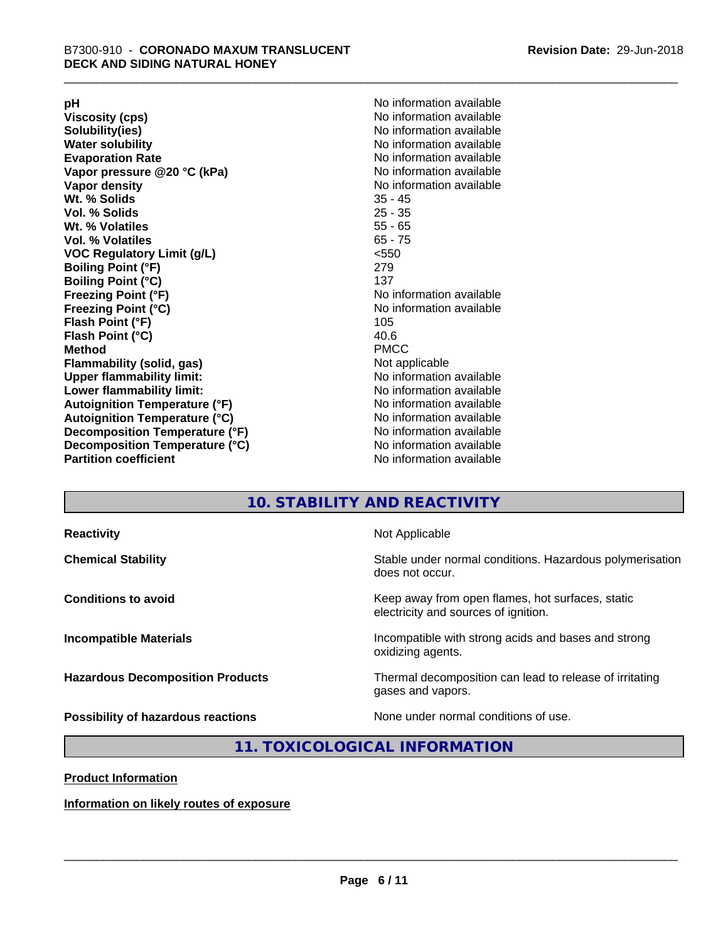**Viscosity (cps)** <br> **Viscosity (cps)** No information available<br>
No information available<br>
No information available **Water solubility**<br> **Evaporation Rate**<br> **Evaporation Rate**<br> **Evaporation Rate Vapor** pressure @20 °C (kPa) **Vapor density No information available Wt. % Solids** 35 - 45 **Vol. % Solids Wt. % Volatiles** 55 - 65 **Vol. % Volatiles** 65 - 75 **VOC Regulatory Limit (g/L)** <550 **Boiling Point (°F)** 279 **Boiling Point (°C)**<br>Freezing Point (°F) **Freezing Point (°C)** No information available **Flash Point (°F)** 105 **Flash Point (°C)** 40.6 **Method** PMCC **Flammability (solid, gas)** Not applicable **Upper flammability limit:** No information available **Lower flammability limit:** No information available **Autoignition Temperature (°F)** No information available **Autoignition Temperature (°C)** No information available **Decomposition Temperature (°F)**<br> **Decomposition Temperature (°C)** No information available<br>
No information available **Decomposition Temperature (°C)**<br>Partition coefficient

**pH**<br>
Viscosity (cps) The Contract of the Contract of No information available<br>
No information available **Solubility(ies)** No information available No information available<br>No information available **No information available No information available** 

## **10. STABILITY AND REACTIVITY**

| <b>Reactivity</b>                       | Not Applicable                                                                           |
|-----------------------------------------|------------------------------------------------------------------------------------------|
| <b>Chemical Stability</b>               | Stable under normal conditions. Hazardous polymerisation<br>does not occur.              |
| <b>Conditions to avoid</b>              | Keep away from open flames, hot surfaces, static<br>electricity and sources of ignition. |
| <b>Incompatible Materials</b>           | Incompatible with strong acids and bases and strong<br>oxidizing agents.                 |
| <b>Hazardous Decomposition Products</b> | Thermal decomposition can lead to release of irritating<br>gases and vapors.             |
| Possibility of hazardous reactions      | None under normal conditions of use.                                                     |

#### **11. TOXICOLOGICAL INFORMATION**

**Product Information**

**Information on likely routes of exposure**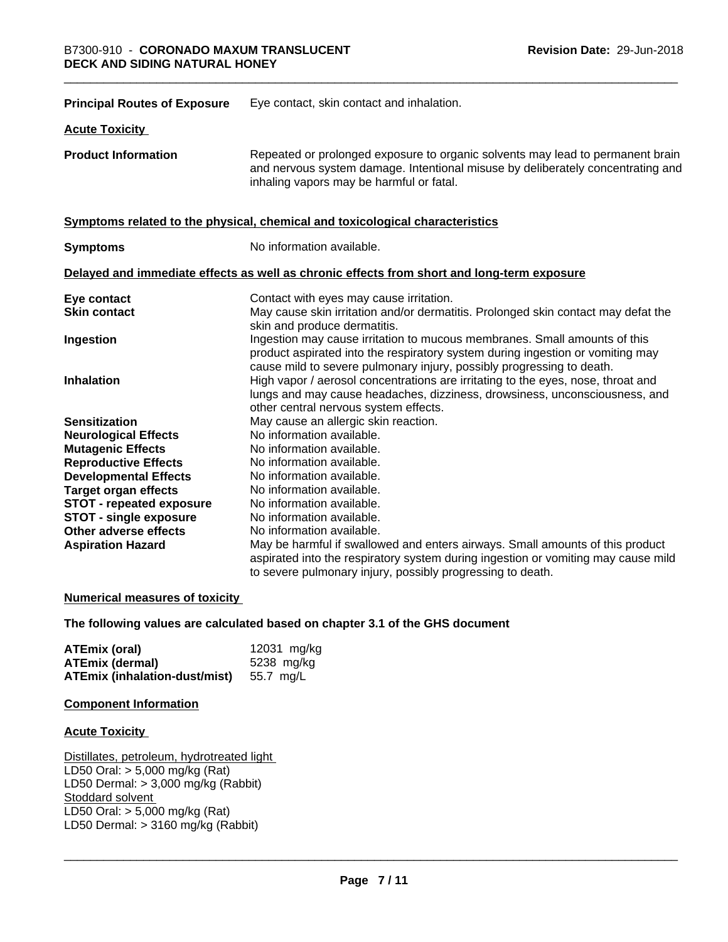| <b>Principal Routes of Exposure</b> | Eye contact, skin contact and inhalation.                                                                                                                                                                                            |
|-------------------------------------|--------------------------------------------------------------------------------------------------------------------------------------------------------------------------------------------------------------------------------------|
| <b>Acute Toxicity</b>               |                                                                                                                                                                                                                                      |
| <b>Product Information</b>          | Repeated or prolonged exposure to organic solvents may lead to permanent brain<br>and nervous system damage. Intentional misuse by deliberately concentrating and<br>inhaling vapors may be harmful or fatal.                        |
|                                     | Symptoms related to the physical, chemical and toxicological characteristics                                                                                                                                                         |
| <b>Symptoms</b>                     | No information available.                                                                                                                                                                                                            |
|                                     | Delayed and immediate effects as well as chronic effects from short and long-term exposure                                                                                                                                           |
| Eye contact                         | Contact with eyes may cause irritation.                                                                                                                                                                                              |
| <b>Skin contact</b>                 | May cause skin irritation and/or dermatitis. Prolonged skin contact may defat the<br>skin and produce dermatitis.                                                                                                                    |
| Ingestion                           | Ingestion may cause irritation to mucous membranes. Small amounts of this<br>product aspirated into the respiratory system during ingestion or vomiting may<br>cause mild to severe pulmonary injury, possibly progressing to death. |
| <b>Inhalation</b>                   | High vapor / aerosol concentrations are irritating to the eyes, nose, throat and<br>lungs and may cause headaches, dizziness, drowsiness, unconsciousness, and<br>other central nervous system effects.                              |
| <b>Sensitization</b>                | May cause an allergic skin reaction.                                                                                                                                                                                                 |
| <b>Neurological Effects</b>         | No information available.                                                                                                                                                                                                            |
| <b>Mutagenic Effects</b>            | No information available.                                                                                                                                                                                                            |
| <b>Reproductive Effects</b>         | No information available.                                                                                                                                                                                                            |
| <b>Developmental Effects</b>        | No information available.                                                                                                                                                                                                            |
| <b>Target organ effects</b>         | No information available.                                                                                                                                                                                                            |
| <b>STOT - repeated exposure</b>     | No information available.                                                                                                                                                                                                            |
| <b>STOT - single exposure</b>       | No information available.                                                                                                                                                                                                            |
| Other adverse effects               | No information available.                                                                                                                                                                                                            |
| <b>Aspiration Hazard</b>            | May be harmful if swallowed and enters airways. Small amounts of this product                                                                                                                                                        |
|                                     | aspirated into the respiratory system during ingestion or vomiting may cause mild<br>to severe pulmonary injury, possibly progressing to death.                                                                                      |

#### **Numerical measures of toxicity**

#### **The following values are calculated based on chapter 3.1 of the GHS document**

| ATEmix (oral)                                  | 12031 mg/kg |
|------------------------------------------------|-------------|
| <b>ATEmix (dermal)</b>                         | 5238 mg/ka  |
| <b>ATEmix (inhalation-dust/mist)</b> 55.7 mg/L |             |

#### **Component Information**

#### **Acute Toxicity**

Distillates, petroleum, hydrotreated light LD50 Oral: > 5,000 mg/kg (Rat) LD50 Dermal: > 3,000 mg/kg (Rabbit) Stoddard solvent LD50 Oral: > 5,000 mg/kg (Rat) LD50 Dermal:  $> 3160$  mg/kg (Rabbit)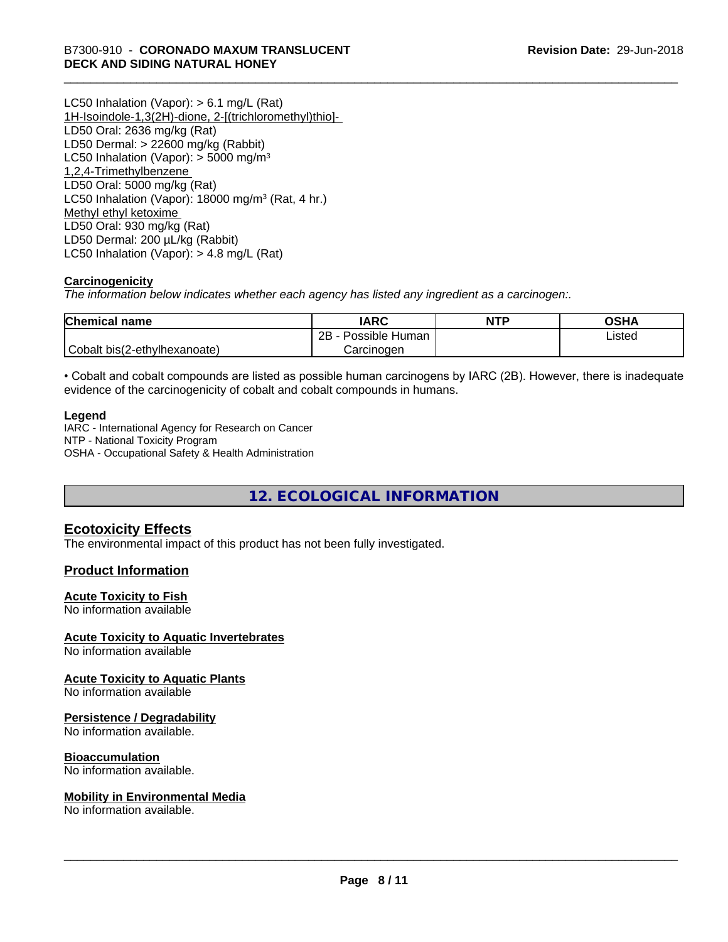LC50 Inhalation (Vapor): > 6.1 mg/L (Rat) 1H-Isoindole-1,3(2H)-dione, 2-[(trichloromethyl)thio]- LD50 Oral: 2636 mg/kg (Rat) LD50 Dermal: > 22600 mg/kg (Rabbit) LC50 Inhalation (Vapor):  $>$  5000 mg/m<sup>3</sup> 1,2,4-Trimethylbenzene LD50 Oral: 5000 mg/kg (Rat) LC50 Inhalation (Vapor): 18000 mg/m<sup>3</sup> (Rat, 4 hr.) Methyl ethyl ketoxime LD50 Oral: 930 mg/kg (Rat) LD50 Dermal: 200 µL/kg (Rabbit) LC50 Inhalation (Vapor): > 4.8 mg/L (Rat)

#### **Carcinogenicity**

*The information below indicateswhether each agency has listed any ingredient as a carcinogen:.*

| <b>Chemical name</b>         | <b>IARC</b>               | <b>NTP</b> | OSHA   |
|------------------------------|---------------------------|------------|--------|
|                              | .<br>2B<br>Possible Human |            | ∟isted |
| Cobalt bis(2-ethylhexanoate) | Carcinoɑen                |            |        |

• Cobalt and cobalt compounds are listed as possible human carcinogens by IARC (2B). However, there is inadequate evidence of the carcinogenicity of cobalt and cobalt compounds in humans.

#### **Legend**

IARC - International Agency for Research on Cancer NTP - National Toxicity Program OSHA - Occupational Safety & Health Administration

**12. ECOLOGICAL INFORMATION**

#### **Ecotoxicity Effects**

The environmental impact of this product has not been fully investigated.

#### **Product Information**

#### **Acute Toxicity to Fish**

No information available

#### **Acute Toxicity to Aquatic Invertebrates**

No information available

#### **Acute Toxicity to Aquatic Plants**

No information available

#### **Persistence / Degradability**

No information available.

#### **Bioaccumulation**

No information available.

#### **Mobility in Environmental Media**

No information available.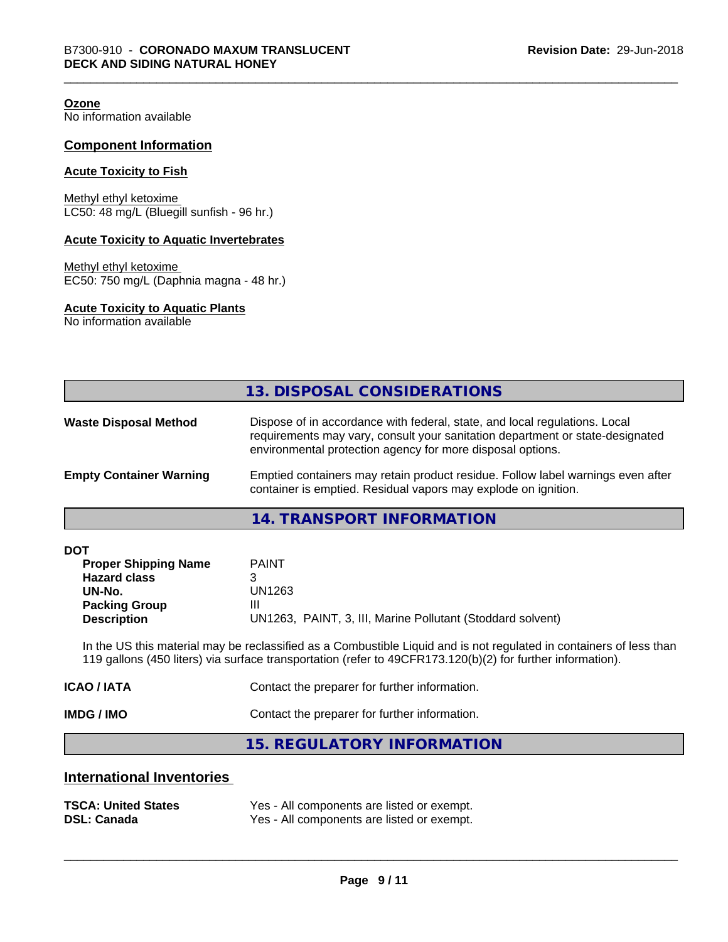**Ozone**

No information available

#### **Component Information**

#### **Acute Toxicity to Fish**

Methyl ethyl ketoxime LC50: 48 mg/L (Bluegill sunfish - 96 hr.)

#### **Acute Toxicity to Aquatic Invertebrates**

Methyl ethyl ketoxime EC50: 750 mg/L (Daphnia magna - 48 hr.)

#### **Acute Toxicity to Aquatic Plants**

No information available

|                                | 13. DISPOSAL CONSIDERATIONS                                                                                                                                                                                               |
|--------------------------------|---------------------------------------------------------------------------------------------------------------------------------------------------------------------------------------------------------------------------|
| <b>Waste Disposal Method</b>   | Dispose of in accordance with federal, state, and local regulations. Local<br>requirements may vary, consult your sanitation department or state-designated<br>environmental protection agency for more disposal options. |
| <b>Empty Container Warning</b> | Emptied containers may retain product residue. Follow label warnings even after<br>container is emptied. Residual vapors may explode on ignition.                                                                         |

**14. TRANSPORT INFORMATION**

| <b>DOT</b> |  |
|------------|--|
|------------|--|

| <b>Proper Shipping Name</b> | <b>PAINT</b>                                               |
|-----------------------------|------------------------------------------------------------|
| <b>Hazard class</b>         |                                                            |
| UN-No.                      | UN1263                                                     |
| <b>Packing Group</b>        | Ш                                                          |
| <b>Description</b>          | UN1263, PAINT, 3, III, Marine Pollutant (Stoddard solvent) |

In the US this material may be reclassified as a Combustible Liquid and is not regulated in containers of less than 119 gallons (450 liters) via surface transportation (refer to 49CFR173.120(b)(2) for further information).

| <b>IMDG / IMO</b> | Contact the preparer for further information. |
|-------------------|-----------------------------------------------|
| ICAO / IATA       | Contact the preparer for further information. |

**15. REGULATORY INFORMATION**

#### **International Inventories**

| <b>TSCA: United States</b> | Yes - All components are listed or exempt. |
|----------------------------|--------------------------------------------|
| <b>DSL: Canada</b>         | Yes - All components are listed or exempt. |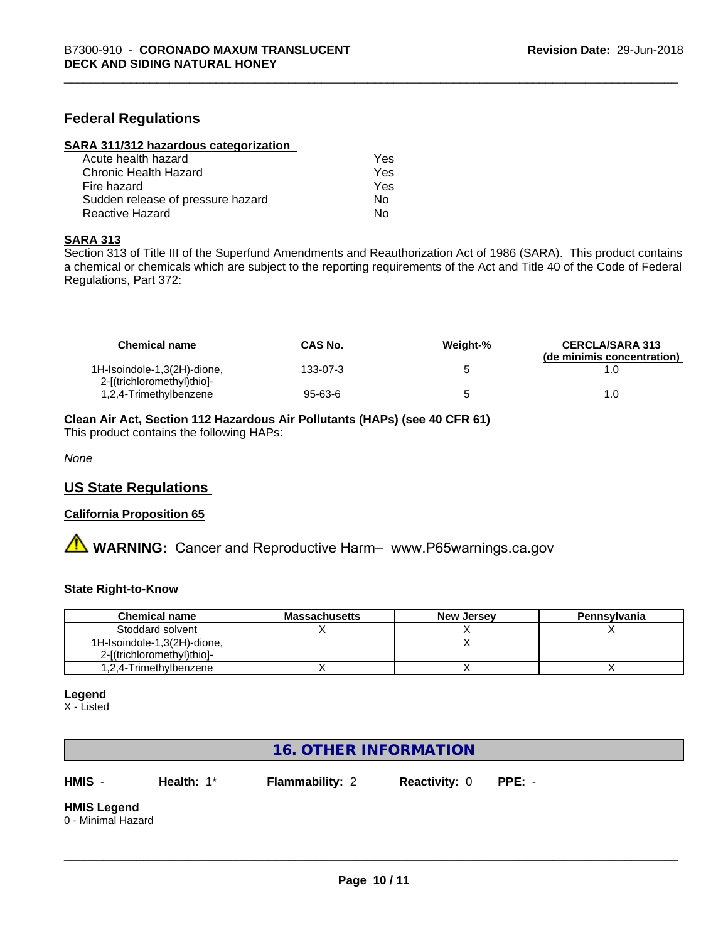#### **Federal Regulations**

| SARA 311/312 hazardous categorization |     |  |
|---------------------------------------|-----|--|
| Acute health hazard                   | Yes |  |
| Chronic Health Hazard                 | Yes |  |
| Fire hazard                           | Yes |  |
| Sudden release of pressure hazard     | Nο  |  |
| Reactive Hazard                       | No  |  |

#### **SARA 313**

Section 313 of Title III of the Superfund Amendments and Reauthorization Act of 1986 (SARA). This product contains a chemical or chemicals which are subject to the reporting requirements of the Act and Title 40 of the Code of Federal Regulations, Part 372:

| <b>Chemical name</b>                                      | <b>CAS No.</b> | Weight-% | <b>CERCLA/SARA 313</b><br>(de minimis concentration) |
|-----------------------------------------------------------|----------------|----------|------------------------------------------------------|
| 1H-Isoindole-1,3(2H)-dione,<br>2-[(trichloromethyl)thio]- | 133-07-3       |          |                                                      |
| 1,2,4-Trimethylbenzene                                    | 95-63-6        |          | 1.0                                                  |

#### **Clean Air Act,Section 112 Hazardous Air Pollutants (HAPs) (see 40 CFR 61)**

This product contains the following HAPs:

*None*

#### **US State Regulations**

#### **California Proposition 65**

**A** WARNING: Cancer and Reproductive Harm– www.P65warnings.ca.gov

#### **State Right-to-Know**

| <b>Chemical name</b>        | <b>Massachusetts</b> | <b>New Jersey</b> | Pennsylvania |
|-----------------------------|----------------------|-------------------|--------------|
| Stoddard solvent            |                      |                   |              |
| 1H-Isoindole-1,3(2H)-dione, |                      |                   |              |
| 2-[(trichloromethyl)thio]-  |                      |                   |              |
| 1,2,4-Trimethylbenzene      |                      |                   |              |

#### **Legend**

X - Listed

## **16. OTHER INFORMATION**

**HMIS** - **Health:** 1\* **Flammability:** 2 **Reactivity:** 0 **PPE:** -

 $\overline{\phantom{a}}$  ,  $\overline{\phantom{a}}$  ,  $\overline{\phantom{a}}$  ,  $\overline{\phantom{a}}$  ,  $\overline{\phantom{a}}$  ,  $\overline{\phantom{a}}$  ,  $\overline{\phantom{a}}$  ,  $\overline{\phantom{a}}$  ,  $\overline{\phantom{a}}$  ,  $\overline{\phantom{a}}$  ,  $\overline{\phantom{a}}$  ,  $\overline{\phantom{a}}$  ,  $\overline{\phantom{a}}$  ,  $\overline{\phantom{a}}$  ,  $\overline{\phantom{a}}$  ,  $\overline{\phantom{a}}$ 

# **HMIS Legend**

0 - Minimal Hazard